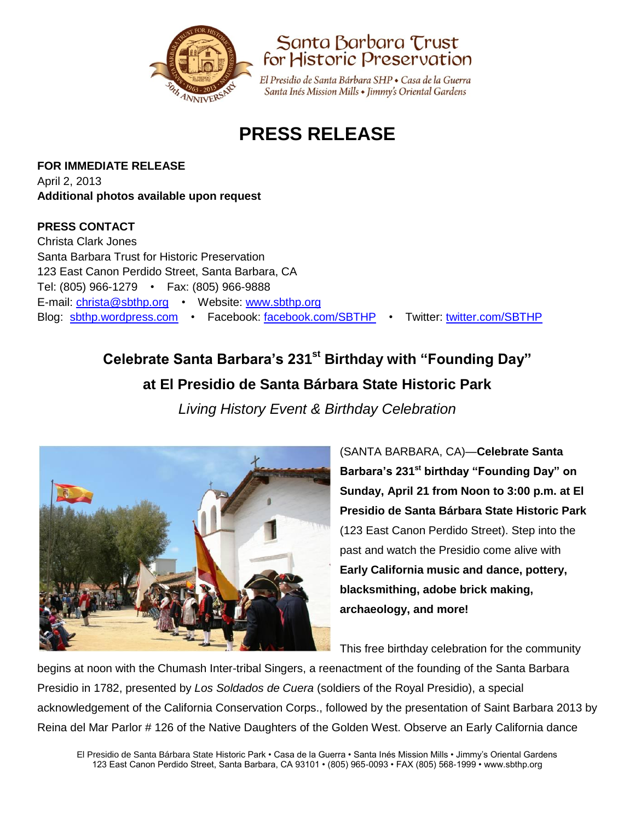



El Presidio de Santa Bárbara SHP • Casa de la Guerra Santa Inés Mission Mills · Jimmy's Oriental Gardens

# **PRESS RELEASE**

**FOR IMMEDIATE RELEASE** April 2, 2013 **Additional photos available upon request**

### **PRESS CONTACT**

Christa Clark Jones Santa Barbara Trust for Historic Preservation 123 East Canon Perdido Street, Santa Barbara, CA Tel: (805) 966-1279 • Fax: (805) 966-9888 E-mail: [christa@sbthp.org](mailto:christa@sbthp.org) • Website: [www.sbthp.org](http://www.sbthp.org/) Blog: [sbthp.wordpress.com](http://sbthp.wordpress.com/) • Facebook: [facebook.com/SBTHP](http://www.facebook.com/SBTHP) • Twitter: [twitter.com/SBTHP](http://twitter.com/SBTHP)

## **Celebrate Santa Barbara's 231 st Birthday with "Founding Day" at El Presidio de Santa Bárbara State Historic Park**

*Living History Event & Birthday Celebration*



(SANTA BARBARA, CA)—**Celebrate Santa Barbara's 231 st birthday "Founding Day" on Sunday, April 21 from Noon to 3:00 p.m. at El Presidio de Santa Bárbara State Historic Park**  (123 East Canon Perdido Street). Step into the past and watch the Presidio come alive with **Early California music and dance, pottery, blacksmithing, adobe brick making, archaeology, and more!**

This free birthday celebration for the community

begins at noon with the Chumash Inter-tribal Singers, a reenactment of the founding of the Santa Barbara Presidio in 1782, presented by *Los Soldados de Cuera* (soldiers of the Royal Presidio), a special acknowledgement of the California Conservation Corps., followed by the presentation of Saint Barbara 2013 by Reina del Mar Parlor # 126 of the Native Daughters of the Golden West. Observe an Early California dance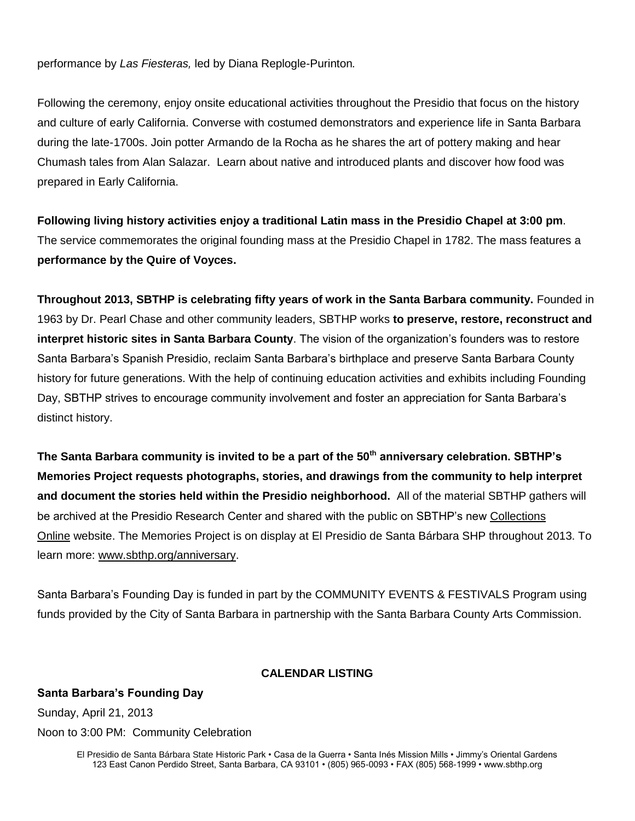performance by *Las Fiesteras,* led by Diana Replogle-Purinton*.*

Following the ceremony, enjoy onsite educational activities throughout the Presidio that focus on the history and culture of early California. Converse with costumed demonstrators and experience life in Santa Barbara during the late-1700s. Join potter Armando de la Rocha as he shares the art of pottery making and hear Chumash tales from Alan Salazar. Learn about native and introduced plants and discover how food was prepared in Early California.

**Following living history activities enjoy a traditional Latin mass in the Presidio Chapel at 3:00 pm**. The service commemorates the original founding mass at the Presidio Chapel in 1782. The mass features a **performance by the Quire of Voyces.**

**Throughout 2013, SBTHP is celebrating fifty years of work in the Santa Barbara community.** Founded in 1963 by Dr. Pearl Chase and other community leaders, SBTHP works **to preserve, restore, reconstruct and interpret historic sites in Santa Barbara County**. The vision of the organization's founders was to restore Santa Barbara's Spanish Presidio, reclaim Santa Barbara's birthplace and preserve Santa Barbara County history for future generations. With the help of continuing education activities and exhibits including Founding Day, SBTHP strives to encourage community involvement and foster an appreciation for Santa Barbara's distinct history.

**The Santa Barbara community is invited to be a part of the 50th anniversary celebration. SBTHP's Memories Project requests photographs, stories, and drawings from the community to help interpret and document the stories held within the Presidio neighborhood.** All of the material SBTHP gathers will be archived at the Presidio Research Center and shared with the public on SBTHP's new [Collections](http://omeka.sbthp.org/collections/show/9)  [Online](http://omeka.sbthp.org/collections/show/9) website. The Memories Project is on display at El Presidio de Santa Bárbara SHP throughout 2013. To learn more: [www.sbthp.org/anniversary.](http://www.sbthp.org/anniversary.htm)

Santa Barbara's Founding Day is funded in part by the COMMUNITY EVENTS & FESTIVALS Program using funds provided by the City of Santa Barbara in partnership with the Santa Barbara County Arts Commission.

#### **CALENDAR LISTING**

Sunday, April 21, 2013 Noon to 3:00 PM: Community Celebration

**Santa Barbara's Founding Day**

El Presidio de Santa Bárbara State Historic Park • Casa de la Guerra • Santa Inés Mission Mills • Jimmy's Oriental Gardens 123 East Canon Perdido Street, Santa Barbara, CA 93101 • (805) 965-0093 • FAX (805) 568-1999 • www.sbthp.org